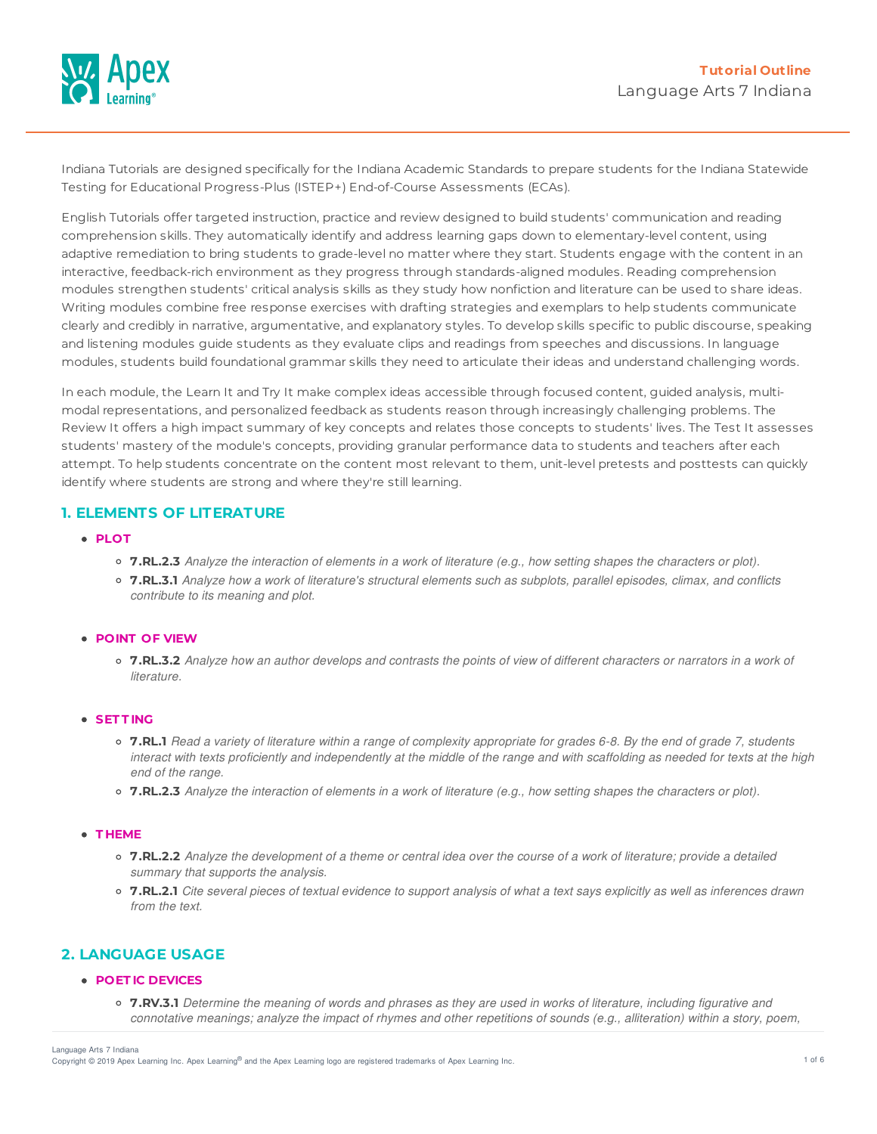

Indiana Tutorials are designed specifically for the Indiana Academic Standards to prepare students for the Indiana Statewide Testing for Educational Progress-Plus (ISTEP+) End-of-Course Assessments (ECAs).

English Tutorials offer targeted instruction, practice and review designed to build students' communication and reading comprehension skills. They automatically identify and address learning gaps down to elementary-level content, using adaptive remediation to bring students to grade-level no matter where they start. Students engage with the content in an interactive, feedback-rich environment as they progress through standards-aligned modules. Reading comprehension modules strengthen students' critical analysis skills as they study how nonfiction and literature can be used to share ideas. Writing modules combine free response exercises with drafting strategies and exemplars to help students communicate clearly and credibly in narrative, argumentative, and explanatory styles. To develop skills specific to public discourse, speaking and listening modules guide students as they evaluate clips and readings from speeches and discussions. In language modules, students build foundational grammar skills they need to articulate their ideas and understand challenging words.

In each module, the Learn It and Try It make complex ideas accessible through focused content, guided analysis, multimodal representations, and personalized feedback as students reason through increasingly challenging problems. The Review It offers a high impact summary of key concepts and relates those concepts to students' lives. The Test It assesses students' mastery of the module's concepts, providing granular performance data to students and teachers after each attempt. To help students concentrate on the content most relevant to them, unit-level pretests and posttests can quickly identify where students are strong and where they're still learning.

# **1. ELEMENTS OF LITERATURE**

# **PLOT**

- 7.RL.2.3 Analyze the interaction of elements in a work of literature (e.g., how setting shapes the characters or plot).
- o 7.RL.3.1 Analyze how a work of literature's structural elements such as subplots, parallel episodes, climax, and conflicts *contribute to its meaning and plot.*

### **POINT OF VIEW**

○ 7.RL.3.2 Analyze how an author develops and contrasts the points of view of different characters or narrators in a work of *literature.*

### **SET T ING**

- o 7.RL.1 Read a variety of literature within a range of complexity appropriate for grades 6-8. By the end of grade 7, students interact with texts proficiently and independently at the middle of the range and with scaffolding as needed for texts at the high *end of the range.*
- 7.RL.2.3 Analyze the interaction of elements in a work of literature (e.g., how setting shapes the characters or plot).

### **T HEME**

- 7.RL.2.2 Analyze the development of a theme or central idea over the course of a work of literature; provide a detailed *summary that supports the analysis.*
- o 7.RL.2.1 Cite several pieces of textual evidence to support analysis of what a text says explicitly as well as inferences drawn *from the text.*

# **2. LANGUAGE USAGE**

### **POET IC DEVICES**

○ 7.RV.3.1 Determine the meaning of words and phrases as they are used in works of literature, including figurative and connotative meanings; analyze the impact of rhymes and other repetitions of sounds (e.g., alliteration) within a story, poem,

Language Arts 7 Indiana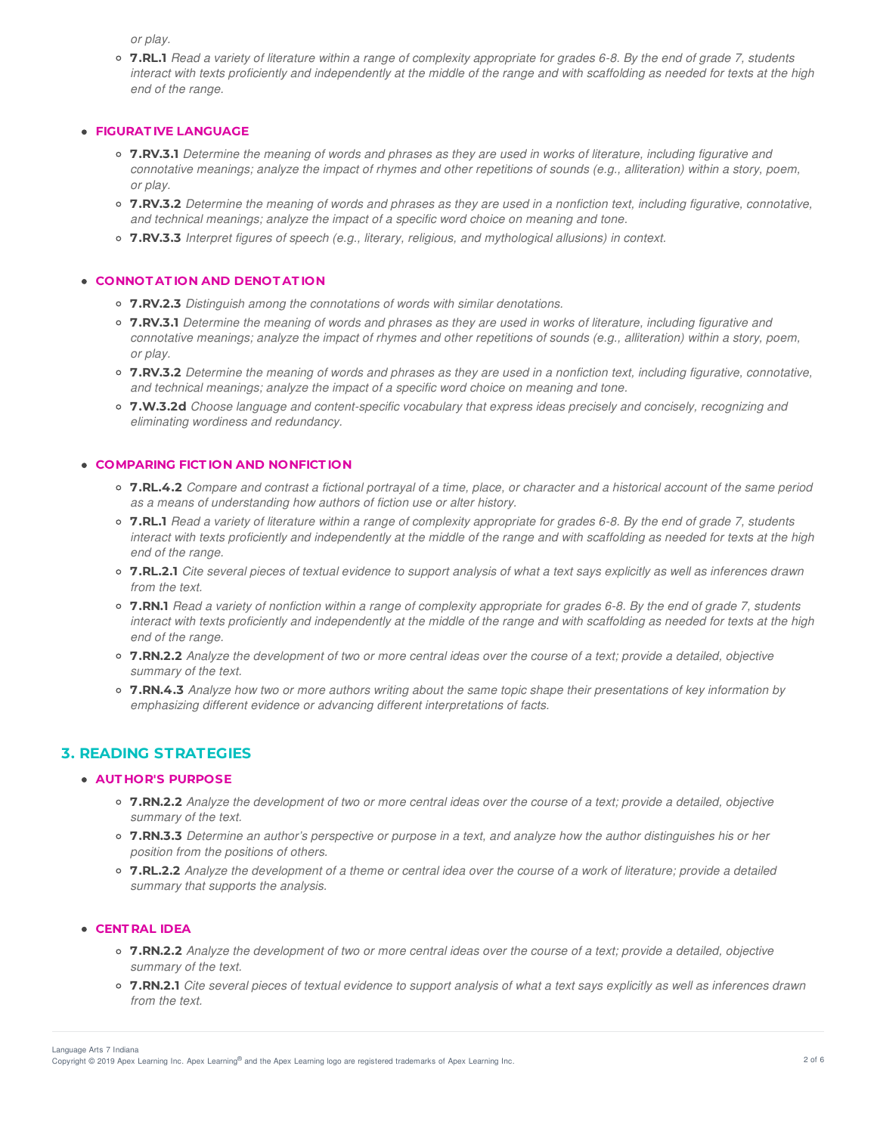*or play.*

• 7.RL.1 Read a variety of literature within a range of complexity appropriate for grades 6-8. By the end of grade 7, students interact with texts proficiently and independently at the middle of the range and with scaffolding as needed for texts at the high *end of the range.*

### **FIGURAT IVE LANGUAGE**

- 7.RV.3.1 Determine the meaning of words and phrases as they are used in works of literature, including figurative and connotative meanings; analyze the impact of rhymes and other repetitions of sounds (e.g., alliteration) within a story, poem, *or play.*
- 7.RV.3.2 Determine the meaning of words and phrases as they are used in a nonfiction text, including figurative, connotative, *and technical meanings; analyze the impact of a specific word choice on meaning and tone.*
- **7.RV.3.3** *Interpret figures of speech (e.g., literary, religious, and mythological allusions) in context.*

### **CONNOT AT ION AND DENOT AT ION**

- **7.RV.2.3** *Distinguish among the connotations of words with similar denotations.*
- o 7.RV.3.1 Determine the meaning of words and phrases as they are used in works of literature, including figurative and connotative meanings; analyze the impact of rhymes and other repetitions of sounds (e.g., alliteration) within a story, poem, *or play.*
- 7.RV.3.2 Determine the meaning of words and phrases as they are used in a nonfiction text, including figurative, connotative, *and technical meanings; analyze the impact of a specific word choice on meaning and tone.*
- **7.W.3.2d** *Choose language and content-specific vocabulary that express ideas precisely and concisely, recognizing and eliminating wordiness and redundancy.*

# **COMPARING FICT ION AND NONFICT ION**

- 7.RL.4.2 Compare and contrast a fictional portrayal of a time, place, or character and a historical account of the same period *as a means of understanding how authors of fiction use or alter history.*
- 7.RL.1 Read a variety of literature within a range of complexity appropriate for grades 6-8. By the end of grade 7, students interact with texts proficiently and independently at the middle of the range and with scaffolding as needed for texts at the high *end of the range.*
- o 7.RL.2.1 Cite several pieces of textual evidence to support analysis of what a text says explicitly as well as inferences drawn *from the text.*
- 7.RN.1 Read a variety of nonfiction within a range of complexity appropriate for grades 6-8. By the end of grade 7, students interact with texts proficiently and independently at the middle of the range and with scaffolding as needed for texts at the high *end of the range.*
- o 7.RN.2.2 Analyze the development of two or more central ideas over the course of a text; provide a detailed, objective *summary of the text.*
- o 7.RN.4.3 Analyze how two or more authors writing about the same topic shape their presentations of key information by *emphasizing different evidence or advancing different interpretations of facts.*

# **3. READING STRATEGIES**

# **AUT HOR'S PURPOSE**

- o 7.RN.2.2 Analyze the development of two or more central ideas over the course of a text; provide a detailed, objective *summary of the text.*
- o 7.RN.3.3 Determine an author's perspective or purpose in a text, and analyze how the author distinguishes his or her *position from the positions of others.*
- 7.RL.2.2 Analyze the development of a theme or central idea over the course of a work of literature; provide a detailed *summary that supports the analysis.*

### **CENT RAL IDEA**

- o 7.RN.2.2 Analyze the development of two or more central ideas over the course of a text; provide a detailed, objective *summary of the text.*
- o 7.RN.2.1 Cite several pieces of textual evidence to support analysis of what a text says explicitly as well as inferences drawn *from the text.*

Copyright © 2019 Apex Learning Inc. Apex Learning® and the Apex Learning logo are registered trademarks of Apex Learning Inc. <br>Copyright © 2019 Apex Learning Inc. Apex Learning® and the Apex Learning Iogo are registered tr Language Arts 7 Indiana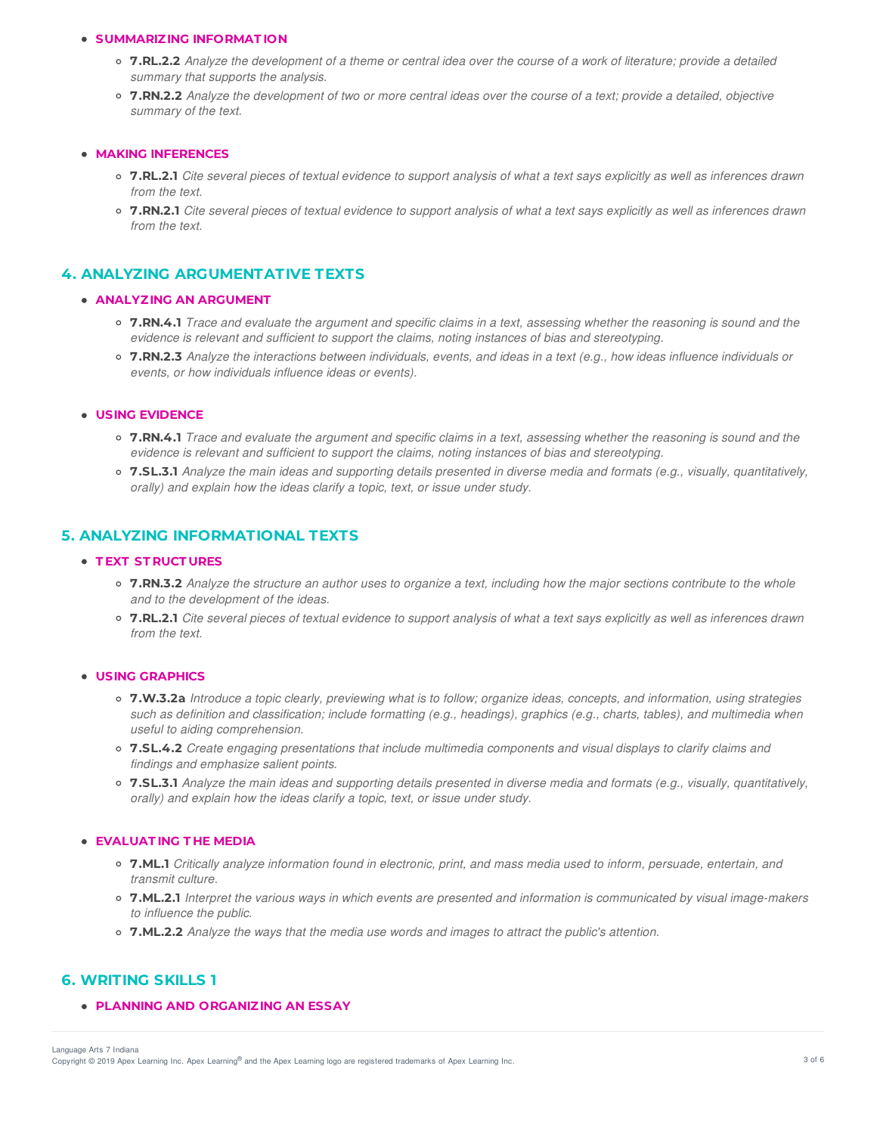### **SUMMARIZING INFORMAT ION**

- 7.RL.2.2 Analyze the development of a theme or central idea over the course of a work of literature: provide a detailed *summary that supports the analysis.*
- o 7.RN.2.2 Analyze the development of two or more central ideas over the course of a text; provide a detailed, objective *summary of the text.*

### **MAKING INFERENCES**

- o 7.RL.2.1 Cite several pieces of textual evidence to support analysis of what a text says explicitly as well as inferences drawn *from the text.*
- o 7.RN.2.1 Cite several pieces of textual evidence to support analysis of what a text says explicitly as well as inferences drawn *from the text.*

# **4. ANALYZING ARGUMENTATIVE TEXTS**

# **ANALYZING AN ARGUMENT**

- 7.RN.4.1 Trace and evaluate the argument and specific claims in a text, assessing whether the reasoning is sound and the *evidence is relevant and sufficient to support the claims, noting instances of bias and stereotyping.*
- 7.RN.2.3 Analyze the interactions between individuals, events, and ideas in a text (e.g., how ideas influence individuals or *events, or how individuals influence ideas or events).*

### **USING EVIDENCE**

- 7.RN.4.1 Trace and evaluate the argument and specific claims in a text, assessing whether the reasoning is sound and the *evidence is relevant and sufficient to support the claims, noting instances of bias and stereotyping.*
- $\circ$  7.SL.3.1 Analyze the main ideas and supporting details presented in diverse media and formats (e.g., visually, quantitatively, *orally) and explain how the ideas clarify a topic, text, or issue under study.*

# **5. ANALYZING INFORMATIONAL TEXTS**

### **T EXT ST RUCT URES**

- 7.RN.3.2 Analyze the structure an author uses to organize a text, including how the major sections contribute to the whole *and to the development of the ideas.*
- 7.RL.2.1 Cite several pieces of textual evidence to support analysis of what a text says explicitly as well as inferences drawn *from the text.*

## **USING GRAPHICS**

- o 7.W.3.2a Introduce a topic clearly, previewing what is to follow; organize ideas, concepts, and information, using strategies such as definition and classification; include formatting (e.g., headings), graphics (e.g., charts, tables), and multimedia when *useful to aiding comprehension.*
- **7.SL.4.2** *Create engaging presentations that include multimedia components and visual displays to clarify claims and findings and emphasize salient points.*
- $\circ$  7.SL.3.1 Analyze the main ideas and supporting details presented in diverse media and formats (e.g., visually, quantitatively, *orally) and explain how the ideas clarify a topic, text, or issue under study.*

### **EVALUAT ING T HE MEDIA**

- o 7.ML.1 Critically analyze information found in electronic, print, and mass media used to inform, persuade, entertain, and *transmit culture.*
- o 7.ML.2.1 Interpret the various ways in which events are presented and information is communicated by visual image-makers *to influence the public.*
- **7.ML.2.2** *Analyze the ways that the media use words and images to attract the public's attention.*

# **6. WRITING SKILLS 1**

### **PLANNING AND ORGANIZING AN ESSAY**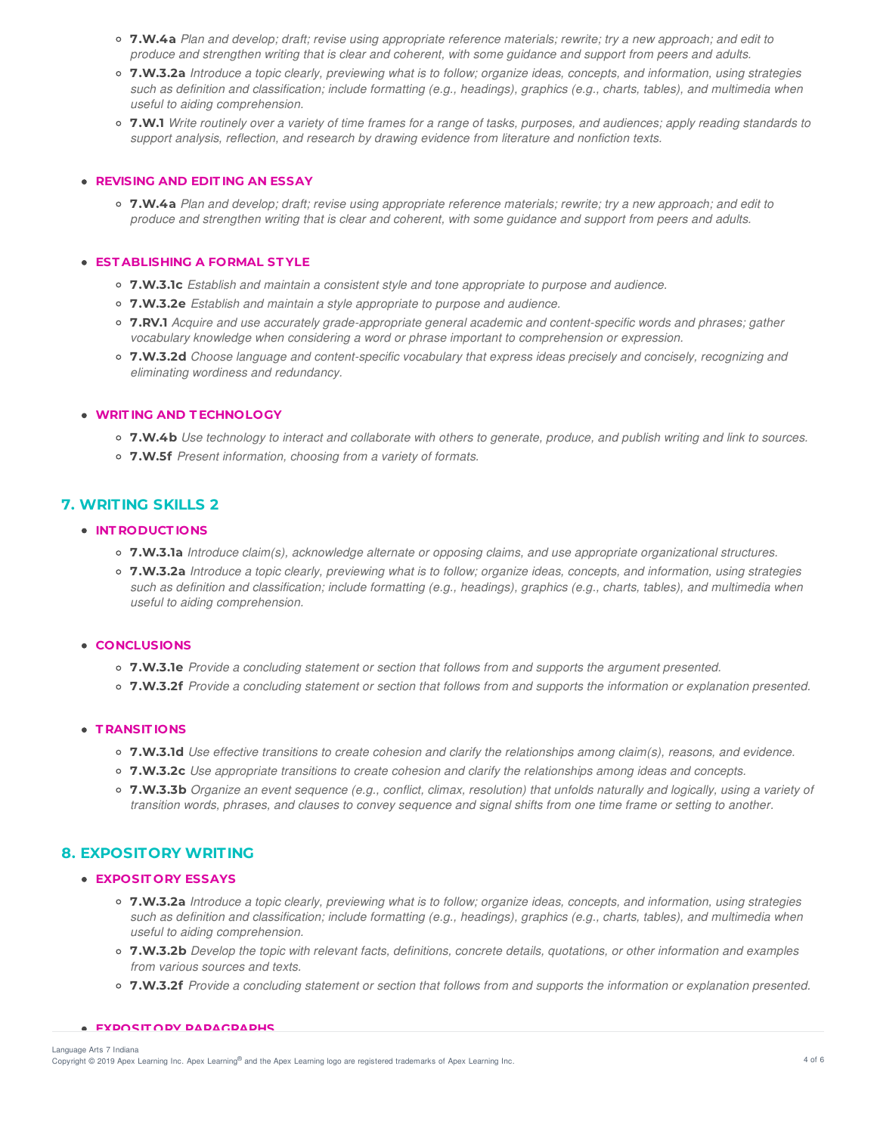- o 7.W.4a Plan and develop; draft; revise using appropriate reference materials; rewrite; try a new approach; and edit to produce and strengthen writing that is clear and coherent, with some guidance and support from peers and adults.
- 7.W.3.2a Introduce a topic clearly, previewing what is to follow; organize ideas, concepts, and information, using strategies such as definition and classification; include formatting (e.g., headings), graphics (e.g., charts, tables), and multimedia when *useful to aiding comprehension.*
- 7.W.1 Write routinely over a variety of time frames for a range of tasks, purposes, and audiences; apply reading standards to *support analysis, reflection, and research by drawing evidence from literature and nonfiction texts.*

## **REVISING AND EDIT ING AN ESSAY**

o 7.W.4a Plan and develop; draft; revise using appropriate reference materials; rewrite; try a new approach; and edit to produce and strengthen writing that is clear and coherent, with some guidance and support from peers and adults.

# **EST ABLISHING A FORMAL ST YLE**

- **7.W.3.1c** *Establish and maintain a consistent style and tone appropriate to purpose and audience.*
- **7.W.3.2e** *Establish and maintain a style appropriate to purpose and audience.*
- **7.RV.1** *Acquire and use accurately grade-appropriate general academic and content-specific words and phrases; gather vocabulary knowledge when considering a word or phrase important to comprehension or expression.*
- **7.W.3.2d** *Choose language and content-specific vocabulary that express ideas precisely and concisely, recognizing and eliminating wordiness and redundancy.*

# **WRIT ING AND T ECHNOLOGY**

- 7.W.4b Use technology to interact and collaborate with others to generate, produce, and publish writing and link to sources.
- **7.W.5f** *Present information, choosing from a variety of formats.*

# **7. WRITING SKILLS 2**

# **INT RODUCT IONS**

- **7.W.3.1a** *Introduce claim(s), acknowledge alternate or opposing claims, and use appropriate organizational structures.*
- 7.W.3.2a Introduce a topic clearly, previewing what is to follow; organize ideas, concepts, and information, using strategies such as definition and classification; include formatting (e.g., headings), graphics (e.g., charts, tables), and multimedia when *useful to aiding comprehension.*

# **CONCLUSIONS**

- **7.W.3.1e** *Provide a concluding statement or section that follows from and supports the argument presented.*
- o 7.W.3.2f Provide a concluding statement or section that follows from and supports the information or explanation presented.

### **T RANSIT IONS**

- $\circ$  7.W.3.1d Use effective transitions to create cohesion and clarify the relationships among claim(s), reasons, and evidence.
- **7.W.3.2c** *Use appropriate transitions to create cohesion and clarify the relationships among ideas and concepts.*
- 7.W.3.3b Organize an event sequence (e.g., conflict, climax, resolution) that unfolds naturally and logically, using a variety of transition words, phrases, and clauses to convey sequence and signal shifts from one time frame or settina to another.

# **8. EXPOSITORY WRITING**

# **EXPOSIT ORY ESSAYS**

- 7.W.3.2a Introduce a topic clearly, previewing what is to follow; organize ideas, concepts, and information, using strategies such as definition and classification; include formatting (e.g., headings), graphics (e.g., charts, tables), and multimedia when *useful to aiding comprehension.*
- o 7.W.3.2b Develop the topic with relevant facts, definitions, concrete details, quotations, or other information and examples *from various sources and texts.*
- o 7.W.3.2f Provide a concluding statement or section that follows from and supports the information or explanation presented.

#### **EXPOSIT ORY PARAGRAPHS**

Copyright © 2019 Apex Learning Inc. Apex Learning® and the Apex Learning logo are registered trademarks of Apex Learning Inc. 4 of 6 Language Arts 7 Indiana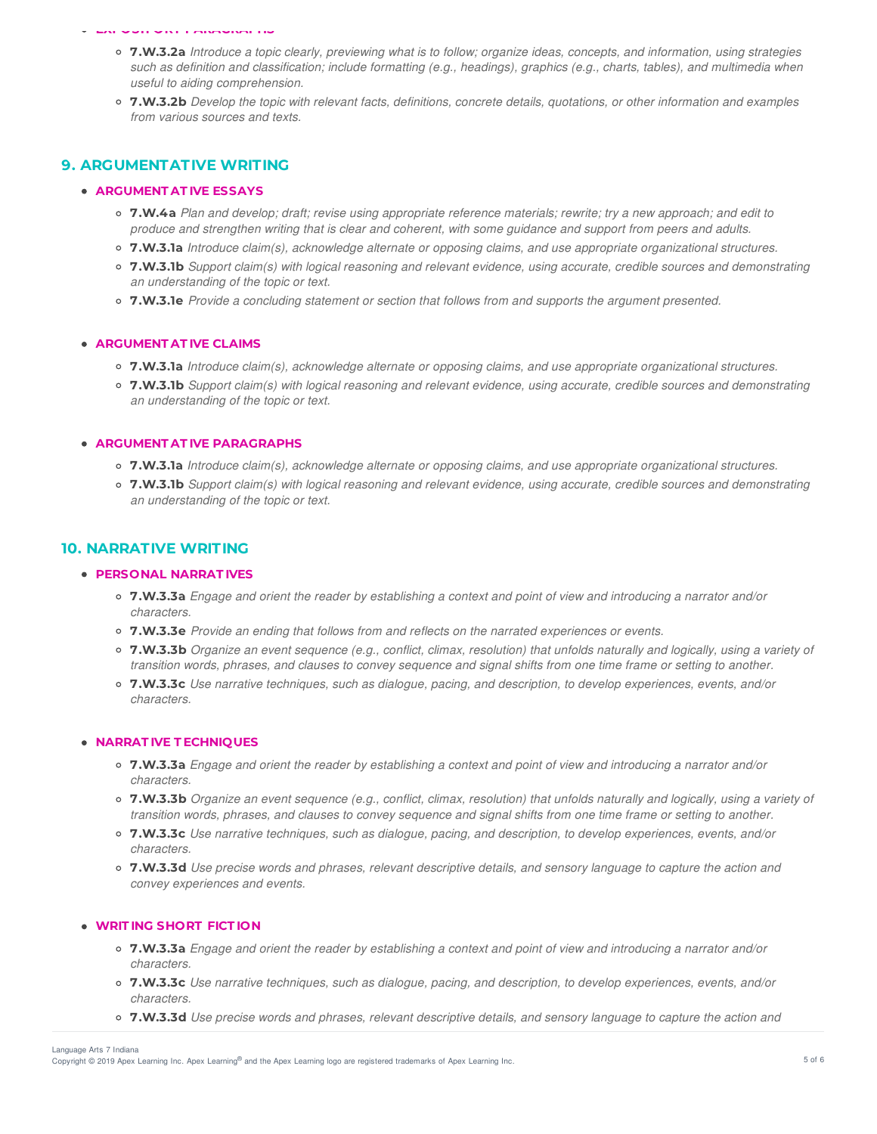#### **EXPOSIT ORY PARAGRAPHS**

- 7.W.3.2a Introduce a topic clearly, previewing what is to follow; organize ideas, concepts, and information, using strategies such as definition and classification; include formatting (e.g., headings), graphics (e.g., charts, tables), and multimedia when *useful to aiding comprehension.*
- o 7.W.3.2b Develop the topic with relevant facts, definitions, concrete details, quotations, or other information and examples *from various sources and texts.*

# **9. ARGUMENTATIVE WRITING**

# **ARGUMENT AT IVE ESSAYS**

- o 7.W.4a Plan and develop; draft; revise using appropriate reference materials; rewrite; try a new approach; and edit to produce and strengthen writing that is clear and coherent, with some guidance and support from peers and adults.
- **7.W.3.1a** *Introduce claim(s), acknowledge alternate or opposing claims, and use appropriate organizational structures.*
- o 7.W.3.1b Support claim(s) with logical reasoning and relevant evidence, using accurate, credible sources and demonstrating *an understanding of the topic or text.*
- **7.W.3.1e** *Provide a concluding statement or section that follows from and supports the argument presented.*

### **ARGUMENT AT IVE CLAIMS**

- **7.W.3.1a** *Introduce claim(s), acknowledge alternate or opposing claims, and use appropriate organizational structures.*
- o 7.W.3.1b Support claim(s) with logical reasoning and relevant evidence, using accurate, credible sources and demonstrating *an understanding of the topic or text.*

# **ARGUMENT AT IVE PARAGRAPHS**

- **7.W.3.1a** *Introduce claim(s), acknowledge alternate or opposing claims, and use appropriate organizational structures.*
- 7.W.3.1b Support claim(s) with logical reasoning and relevant evidence, using accurate, credible sources and demonstrating *an understanding of the topic or text.*

# **10. NARRATIVE WRITING**

# **PERSONAL NARRAT IVES**

- 7.W.3.3a Engage and orient the reader by establishing a context and point of view and introducing a narrator and/or *characters.*
- **7.W.3.3e** *Provide an ending that follows from and reflects on the narrated experiences or events.*
- $\circ$  7.W.3.3b Organize an event sequence (e.g., conflict, climax, resolution) that unfolds naturally and logically, using a variety of transition words, phrases, and clauses to convey sequence and signal shifts from one time frame or setting to another.
- **7.W.3.3c** *Use narrative techniques, such as dialogue, pacing, and description, to develop experiences, events, and/or characters.*

# **NARRAT IVE T ECHNIQUES**

- o 7.W.3.3a Engage and orient the reader by establishing a context and point of view and introducing a narrator and/or *characters.*
- o 7.W.3.3b Organize an event sequence (e.g., conflict, climax, resolution) that unfolds naturally and logically, using a variety of transition words, phrases, and clauses to convey sequence and signal shifts from one time frame or setting to another.
- **7.W.3.3c** *Use narrative techniques, such as dialogue, pacing, and description, to develop experiences, events, and/or characters.*
- o 7.W.3.3d Use precise words and phrases, relevant descriptive details, and sensory language to capture the action and *convey experiences and events.*

# **WRIT ING SHORT FICT ION**

- 7.W.3.3a Engage and orient the reader by establishing a context and point of view and introducing a narrator and/or *characters.*
- **7.W.3.3c** *Use narrative techniques, such as dialogue, pacing, and description, to develop experiences, events, and/or characters.*
- 7.W.3.3d Use precise words and phrases, relevant descriptive details, and sensory language to capture the action and

Copyright © 2019 Apex Learning Inc. Apex Learning® and the Apex Learning logo are registered trademarks of Apex Learning Inc. The Statemarks of Apex Learning Inc. Language Arts 7 Indiana